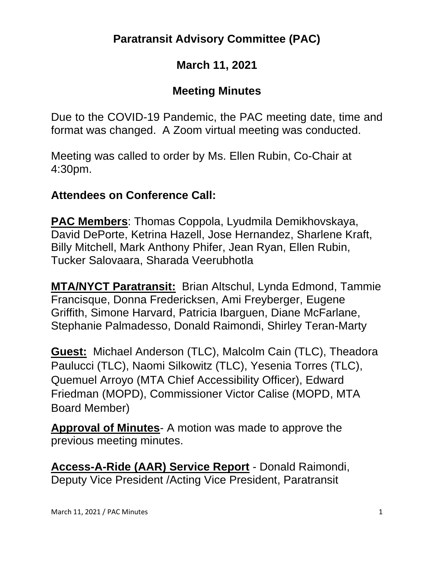## **Paratransit Advisory Committee (PAC)**

## **March 11, 2021**

## **Meeting Minutes**

Due to the COVID-19 Pandemic, the PAC meeting date, time and format was changed. A Zoom virtual meeting was conducted.

Meeting was called to order by Ms. Ellen Rubin, Co-Chair at 4:30pm.

#### **Attendees on Conference Call:**

**PAC Members**: Thomas Coppola, Lyudmila Demikhovskaya, David DePorte, Ketrina Hazell, Jose Hernandez, Sharlene Kraft, Billy Mitchell, Mark Anthony Phifer, Jean Ryan, Ellen Rubin, Tucker Salovaara, Sharada Veerubhotla

**MTA/NYCT Paratransit:** Brian Altschul, Lynda Edmond, Tammie Francisque, Donna Fredericksen, Ami Freyberger, Eugene Griffith, Simone Harvard, Patricia Ibarguen, Diane McFarlane, Stephanie Palmadesso, Donald Raimondi, Shirley Teran-Marty

**Guest:** Michael Anderson (TLC), Malcolm Cain (TLC), Theadora Paulucci (TLC), Naomi Silkowitz (TLC), Yesenia Torres (TLC), Quemuel Arroyo (MTA Chief Accessibility Officer), Edward Friedman (MOPD), Commissioner Victor Calise (MOPD, MTA Board Member)

**Approval of Minutes**- A motion was made to approve the previous meeting minutes.

**Access-A-Ride (AAR) Service Report** - Donald Raimondi, Deputy Vice President /Acting Vice President, Paratransit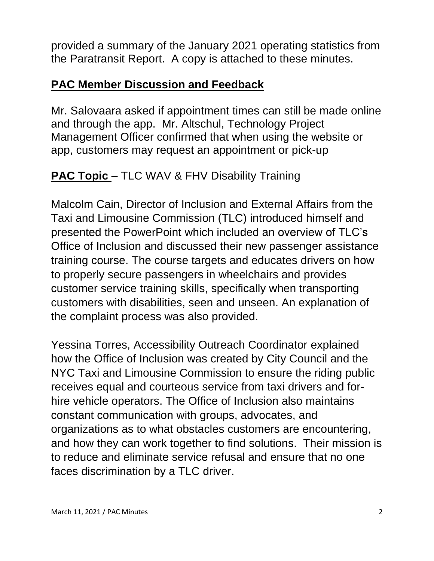provided a summary of the January 2021 operating statistics from the Paratransit Report. A copy is attached to these minutes.

#### **PAC Member Discussion and Feedback**

Mr. Salovaara asked if appointment times can still be made online and through the app. Mr. Altschul, Technology Project Management Officer confirmed that when using the website or app, customers may request an appointment or pick-up

# **PAC Topic –** TLC WAV & FHV Disability Training

Malcolm Cain, Director of Inclusion and External Affairs from the Taxi and Limousine Commission (TLC) introduced himself and presented the PowerPoint which included an overview of TLC's Office of Inclusion and discussed their new passenger assistance training course. The course targets and educates drivers on how to properly secure passengers in wheelchairs and provides customer service training skills, specifically when transporting customers with disabilities, seen and unseen. An explanation of the complaint process was also provided.

Yessina Torres, Accessibility Outreach Coordinator explained how the Office of Inclusion was created by City Council and the NYC Taxi and Limousine Commission to ensure the riding public receives equal and courteous service from taxi drivers and forhire vehicle operators. The Office of Inclusion also maintains constant communication with groups, advocates, and organizations as to what obstacles customers are encountering, and how they can work together to find solutions. Their mission is to reduce and eliminate service refusal and ensure that no one faces discrimination by a TLC driver.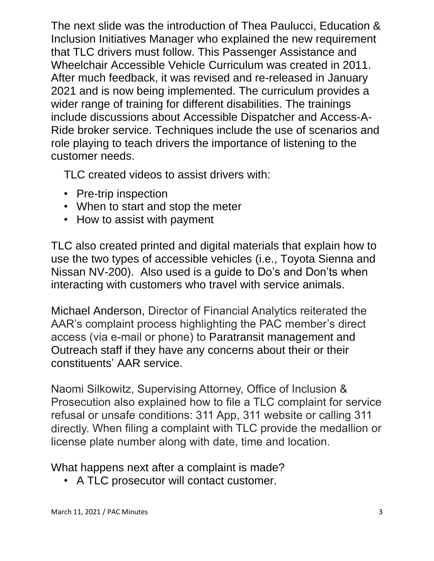The next slide was the introduction of Thea Paulucci, Education & Inclusion Initiatives Manager who explained the new requirement that TLC drivers must follow. This Passenger Assistance and Wheelchair Accessible Vehicle Curriculum was created in 2011. After much feedback, it was revised and re-released in January 2021 and is now being implemented. The curriculum provides a wider range of training for different disabilities. The trainings include discussions about Accessible Dispatcher and Access-A-Ride broker service. Techniques include the use of scenarios and role playing to teach drivers the importance of listening to the customer needs.

TLC created videos to assist drivers with:

- Pre-trip inspection
- When to start and stop the meter
- How to assist with payment

TLC also created printed and digital materials that explain how to use the two types of accessible vehicles (i.e., Toyota Sienna and Nissan NV-200). Also used is a guide to Do's and Don'ts when interacting with customers who travel with service animals.

Michael Anderson, Director of Financial Analytics reiterated the AAR's complaint process highlighting the PAC member's direct access (via e-mail or phone) to Paratransit management and Outreach staff if they have any concerns about their or their constituents' AAR service.

Naomi Silkowitz, Supervising Attorney, Office of Inclusion & Prosecution also explained how to file a TLC complaint for service refusal or unsafe conditions: 311 App, 311 website or calling 311 directly. When filing a complaint with TLC provide the medallion or license plate number along with date, time and location.

What happens next after a complaint is made?

• A TLC prosecutor will contact customer.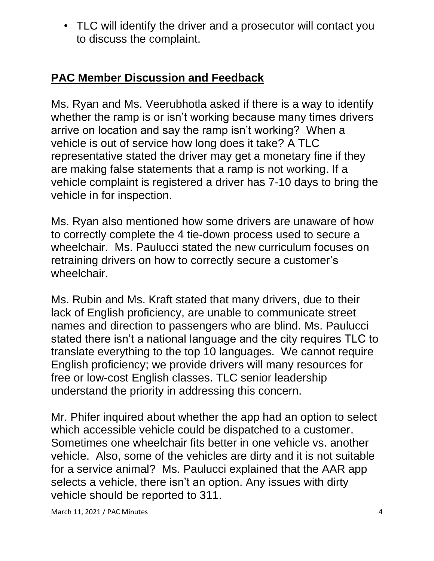• TLC will identify the driver and a prosecutor will contact you to discuss the complaint.

# **PAC Member Discussion and Feedback**

Ms. Ryan and Ms. Veerubhotla asked if there is a way to identify whether the ramp is or isn't working because many times drivers arrive on location and say the ramp isn't working? When a vehicle is out of service how long does it take? A TLC representative stated the driver may get a monetary fine if they are making false statements that a ramp is not working. If a vehicle complaint is registered a driver has 7-10 days to bring the vehicle in for inspection.

Ms. Ryan also mentioned how some drivers are unaware of how to correctly complete the 4 tie-down process used to secure a wheelchair. Ms. Paulucci stated the new curriculum focuses on retraining drivers on how to correctly secure a customer's wheelchair.

Ms. Rubin and Ms. Kraft stated that many drivers, due to their lack of English proficiency, are unable to communicate street names and direction to passengers who are blind. Ms. Paulucci stated there isn't a national language and the city requires TLC to translate everything to the top 10 languages. We cannot require English proficiency; we provide drivers will many resources for free or low-cost English classes. TLC senior leadership understand the priority in addressing this concern.

Mr. Phifer inquired about whether the app had an option to select which accessible vehicle could be dispatched to a customer. Sometimes one wheelchair fits better in one vehicle vs. another vehicle. Also, some of the vehicles are dirty and it is not suitable for a service animal? Ms. Paulucci explained that the AAR app selects a vehicle, there isn't an option. Any issues with dirty vehicle should be reported to 311.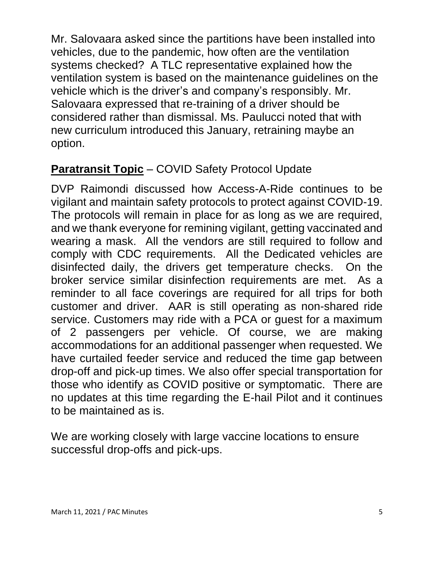Mr. Salovaara asked since the partitions have been installed into vehicles, due to the pandemic, how often are the ventilation systems checked? A TLC representative explained how the ventilation system is based on the maintenance guidelines on the vehicle which is the driver's and company's responsibly. Mr. Salovaara expressed that re-training of a driver should be considered rather than dismissal. Ms. Paulucci noted that with new curriculum introduced this January, retraining maybe an option.

# **Paratransit Topic** – COVID Safety Protocol Update

DVP Raimondi discussed how Access-A-Ride continues to be vigilant and maintain safety protocols to protect against COVID-19. The protocols will remain in place for as long as we are required, and we thank everyone for remining vigilant, getting vaccinated and wearing a mask. All the vendors are still required to follow and comply with CDC requirements. All the Dedicated vehicles are disinfected daily, the drivers get temperature checks. On the broker service similar disinfection requirements are met. As a reminder to all face coverings are required for all trips for both customer and driver. AAR is still operating as non-shared ride service. Customers may ride with a PCA or guest for a maximum of 2 passengers per vehicle. Of course, we are making accommodations for an additional passenger when requested. We have curtailed feeder service and reduced the time gap between drop-off and pick-up times. We also offer special transportation for those who identify as COVID positive or symptomatic. There are no updates at this time regarding the E-hail Pilot and it continues to be maintained as is.

We are working closely with large vaccine locations to ensure successful drop-offs and pick-ups.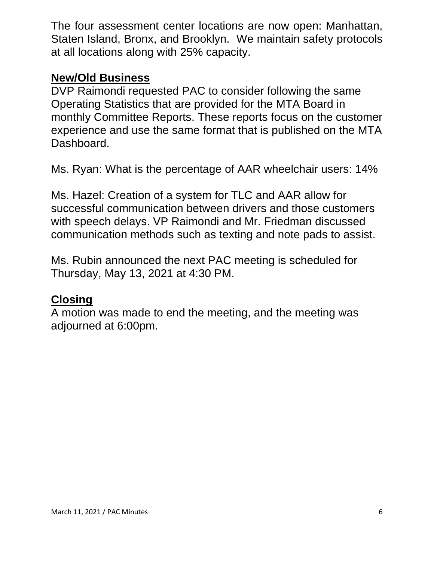The four assessment center locations are now open: Manhattan, Staten Island, Bronx, and Brooklyn. We maintain safety protocols at all locations along with 25% capacity.

#### **New/Old Business**

DVP Raimondi requested PAC to consider following the same Operating Statistics that are provided for the MTA Board in monthly Committee Reports. These reports focus on the customer experience and use the same format that is published on the MTA Dashboard.

Ms. Ryan: What is the percentage of AAR wheelchair users: 14%

Ms. Hazel: Creation of a system for TLC and AAR allow for successful communication between drivers and those customers with speech delays. VP Raimondi and Mr. Friedman discussed communication methods such as texting and note pads to assist.

Ms. Rubin announced the next PAC meeting is scheduled for Thursday, May 13, 2021 at 4:30 PM.

#### **Closing**

A motion was made to end the meeting, and the meeting was adjourned at 6:00pm.